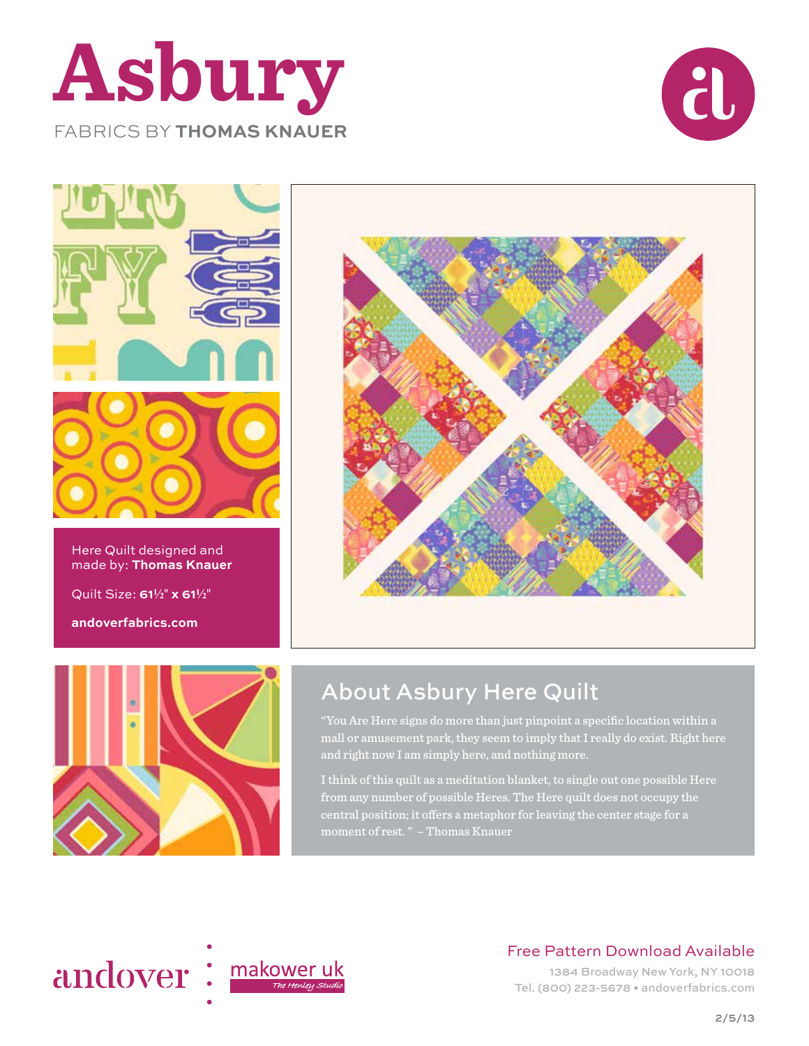





Here Quilt designed and made by: **Thomas Knauer**

Quilt Size: **612**" **x 612**"

**andoverfabrics.com**





### About Asbury Here Quilt

"You Are Here signs do more than just pinpoint a specific location within a mall or amusement park, they seem to imply that I really do exist. Right here and right now I am simply here, and nothing more.

I think of this quilt as a meditation blanket, to single out one possible Here from any number of possible Heres. The Here quilt does not occupy the central position; it offers a metaphor for leaving the center stage for a moment of rest. " – Thomas Knauer



Free Pattern Download Available

1384 Broadway New York, NY 10018 Tel. (800) 223-5678 • andoverfabrics.com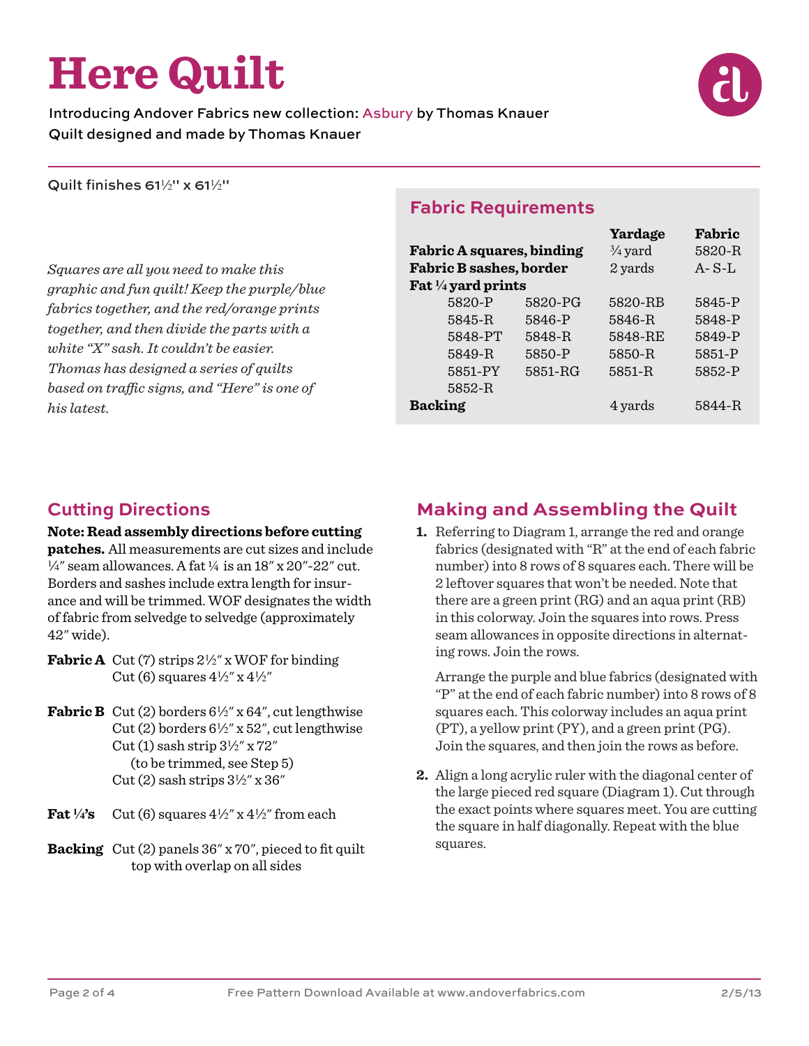# **Here Quilt**

Introducing Andover Fabrics new collection: Asbury by Thomas Knauer Quilt designed and made by Thomas Knauer

Quilt finishes 61 $\frac{1}{2}$ " x 61 $\frac{1}{2}$ "

*Squares are all you need to make this graphic and fun quilt! Keep the purple/blue fabrics together, and the red/orange prints together, and then divide the parts with a white "X" sash. It couldn't be easier. Thomas has designed a series of quilts based on traffic signs, and "Here" is one of his latest.*

#### **Fabric Requirements**

|                                  |         | Yardage            | Fabric      |
|----------------------------------|---------|--------------------|-------------|
| <b>Fabric A squares, binding</b> |         | $\frac{3}{4}$ yard | 5820-R      |
| <b>Fabric B sashes, border</b>   |         | 2 yards            | $A - S - L$ |
| Fat 1/4 yard prints              |         |                    |             |
| 5820-P                           | 5820-PG | 5820-RB            | 5845-P      |
| 5845-R                           | 5846-P  | 5846-R             | 5848-P      |
| 5848-PT                          | 5848-R  | 5848-RE            | 5849-P      |
| 5849-R                           | 5850-P  | 5850-R             | 5851-P      |
| 5851-PY                          | 5851-RG | 5851-R             | 5852-P      |
| 5852-R                           |         |                    |             |
| <b>Backing</b>                   |         | 4 yards            | 5844-R      |

#### **Cutting Directions**

#### **Note: Read assembly directions before cutting**

**patches.** All measurements are cut sizes and include  $\frac{1}{4}$ " seam allowances. A fat  $\frac{1}{4}$  is an 18" x 20"-22" cut. Borders and sashes include extra length for insurance and will be trimmed. WOF designates the width of fabric from selvedge to selvedge (approximately 42" wide).

- **Fabric A** Cut (7) strips  $2\frac{1}{2}$ " x WOF for binding Cut (6) squares  $4\frac{1}{2}$ " x  $4\frac{1}{2}$ "
- **Fabric B** Cut (2) borders  $6\frac{1}{2}$ " x  $64$ ", cut lengthwise Cut (2) borders  $6\frac{1}{2}$ " x 52", cut lengthwise Cut (1) sash strip  $3\frac{1}{2}$ " x 72" (to be trimmed, see Step 5) Cut (2) sash strips  $3\frac{1}{2}$ " x  $36$ "
- **Fat**  $\frac{1}{4}$ 's Cut (6) squares  $\frac{4}{2}$ '' x  $\frac{4}{2}$ '' from each
- **Backing** Cut (2) panels 36" x 70", pieced to fit quilt top with overlap on all sides

#### **Making and Assembling the Quilt**

**1.** Referring to Diagram 1, arrange the red and orange fabrics (designated with "R" at the end of each fabric number) into 8 rows of 8 squares each. There will be 2 leftover squares that won't be needed. Note that there are a green print (RG) and an aqua print (RB) in this colorway. Join the squares into rows. Press seam allowances in opposite directions in alternating rows. Join the rows.

 Arrange the purple and blue fabrics (designated with "P" at the end of each fabric number) into 8 rows of 8 squares each. This colorway includes an aqua print (PT), a yellow print (PY), and a green print (PG). Join the squares, and then join the rows as before.

**2.** Align a long acrylic ruler with the diagonal center of the large pieced red square (Diagram 1). Cut through the exact points where squares meet. You are cutting the square in half diagonally. Repeat with the blue squares.

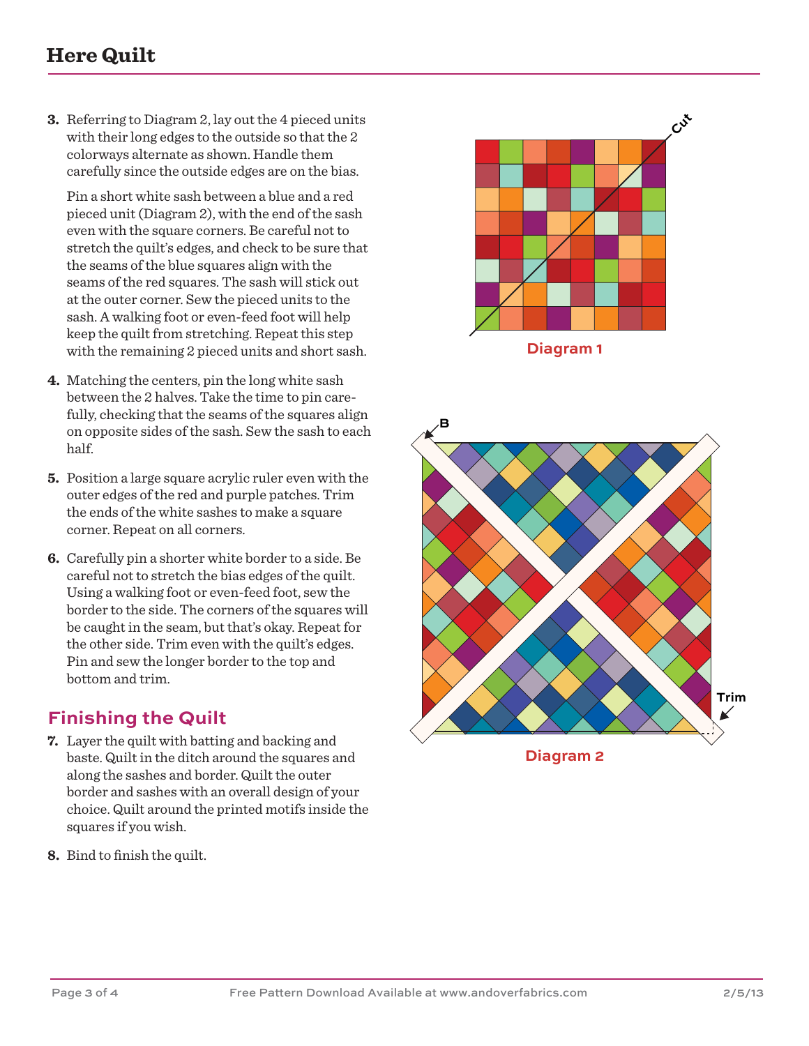#### **Here Quilt**

**3.** Referring to Diagram 2, lay out the 4 pieced units with their long edges to the outside so that the 2 colorways alternate as shown. Handle them carefully since the outside edges are on the bias.

 Pin a short white sash between a blue and a red pieced unit (Diagram 2), with the end of the sash even with the square corners. Be careful not to stretch the quilt's edges, and check to be sure that the seams of the blue squares align with the seams of the red squares. The sash will stick out at the outer corner. Sew the pieced units to the sash. A walking foot or even-feed foot will help keep the quilt from stretching. Repeat this step with the remaining 2 pieced units and short sash.

- **4.** Matching the centers, pin the long white sash between the 2 halves. Take the time to pin carefully, checking that the seams of the squares align on opposite sides of the sash. Sew the sash to each half.
- **5.** Position a large square acrylic ruler even with the outer edges of the red and purple patches. Trim the ends of the white sashes to make a square corner. Repeat on all corners.
- **6.** Carefully pin a shorter white border to a side. Be careful not to stretch the bias edges of the quilt. Using a walking foot or even-feed foot, sew the border to the side. The corners of the squares will be caught in the seam, but that's okay. Repeat for the other side. Trim even with the quilt's edges. Pin and sew the longer border to the top and bottom and trim.

#### **Finishing the Quilt**

- **7.** Layer the quilt with batting and backing and baste. Quilt in the ditch around the squares and along the sashes and border. Quilt the outer border and sashes with an overall design of your choice. Quilt around the printed motifs inside the squares if you wish.
- **8.** Bind to finish the quilt.



**Diagram 1**